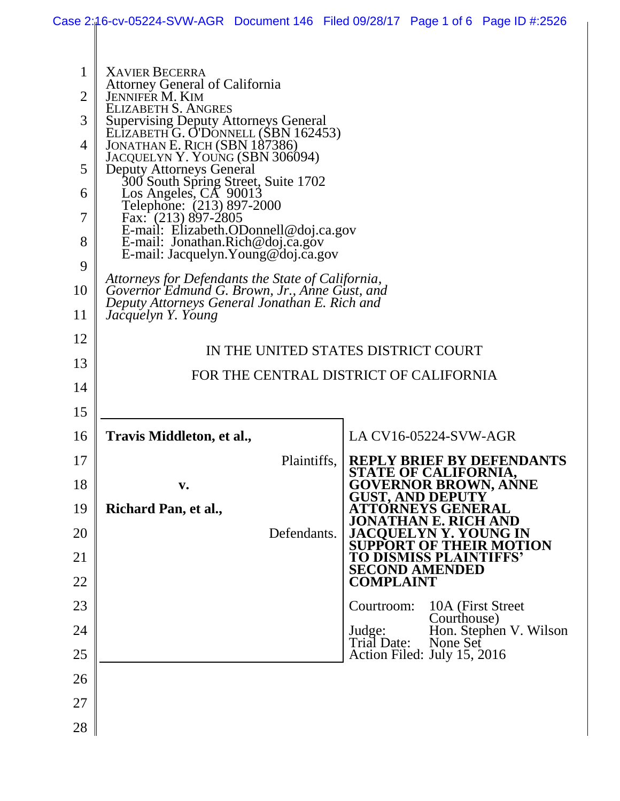|                | Case 2:16-cv-05224-SVW-AGR Document 146 Filed 09/28/17 Page 1 of 6 Page ID #:2526              |                                                                       |  |  |
|----------------|------------------------------------------------------------------------------------------------|-----------------------------------------------------------------------|--|--|
|                |                                                                                                |                                                                       |  |  |
| 1              | <b>XAVIER BECERRA</b>                                                                          |                                                                       |  |  |
| $\overline{2}$ | Attorney General of California<br><b>JENNIFER M. KIM</b>                                       |                                                                       |  |  |
| 3              | ELIZABETH S. ANGRES<br><b>Supervising Deputy Attorneys General</b>                             |                                                                       |  |  |
| 4              | ELIZABETH G. O'DÓNNELL (SBN 162453)<br>JONATHAN E. RICH (SBN 187386)                           |                                                                       |  |  |
|                | JACQUELYN Y. YOUNG (SBN 306094)                                                                |                                                                       |  |  |
| 5              | <b>Deputy Attorneys General</b><br>300 South Spring Street, Suite 1702                         |                                                                       |  |  |
| 6              | Los Angeles, CA 90013<br>Telephone: (213) 897-2000                                             |                                                                       |  |  |
| 7              | Fax: $(213) 897 - 2805$<br>E-mail: Elizabeth.ODonnell@doj.ca.gov                               |                                                                       |  |  |
| 8              | E-mail: Jonathan.Rich@doj.ca.gov<br>E-mail: Jacquelyn. Young@doj.ca.gov                        |                                                                       |  |  |
| 9              | Attorneys for Defendants the State of California,                                              |                                                                       |  |  |
| 10             | Governor Edmund G. Brown, Jr., Anne Gust, and<br>Deputy Attorneys General Jonathan E. Rich and |                                                                       |  |  |
| 11             | Jacquelyn Y. Young                                                                             |                                                                       |  |  |
| 12             |                                                                                                |                                                                       |  |  |
| 13             | IN THE UNITED STATES DISTRICT COURT<br>FOR THE CENTRAL DISTRICT OF CALIFORNIA                  |                                                                       |  |  |
| 14             |                                                                                                |                                                                       |  |  |
| 15             |                                                                                                |                                                                       |  |  |
| 16             | Travis Middleton, et al.,                                                                      | LA CV16-05224-SVW-AGR                                                 |  |  |
| 17             | Plaintiffs,                                                                                    | <b>REPLY BRIEF BY DEFENDANTS</b>                                      |  |  |
| 18             | v.                                                                                             | <u>STATE OF CALIFORNIA,</u><br><b>GOVERNOR BROWN, ANNE</b>            |  |  |
| 19             | Richard Pan, et al.,                                                                           | <b>GUST, AND DEPUTY</b><br><b>ATTORNEYS GENERAL</b>                   |  |  |
| 20             | Defendants.                                                                                    | 'HAN E. RI<br>CH AND<br>.IA(<br>YOUNG IN                              |  |  |
| 21             |                                                                                                | OTION<br><b>SUPPORT</b><br>в тнеік І<br><b>TO DISMISS PLAINTIFFS'</b> |  |  |
| 22             |                                                                                                | <b>SECOND AMENDED</b><br><b>COMPLAINT</b>                             |  |  |
| 23             |                                                                                                | Courtroom:<br>10A (First Street)                                      |  |  |
|                |                                                                                                | Courthouse)                                                           |  |  |
| 24             |                                                                                                | Hon. Stephen V. Wilson<br>Judge:<br>Trial Date:<br>None Set           |  |  |
| 25             |                                                                                                | Action Filed: July 15, 2016                                           |  |  |
| 26             |                                                                                                |                                                                       |  |  |
| 27             |                                                                                                |                                                                       |  |  |
| 28             |                                                                                                |                                                                       |  |  |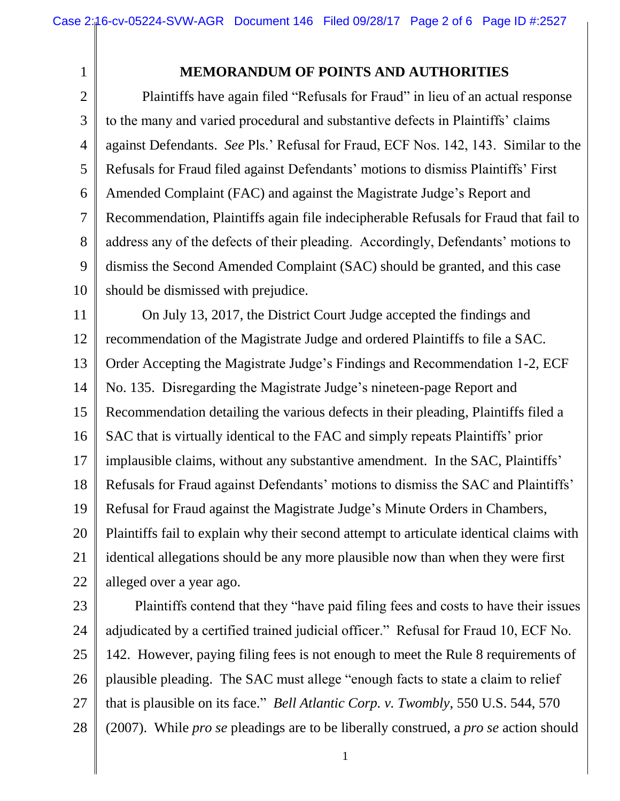1

## **MEMORANDUM OF POINTS AND AUTHORITIES**

2 3 4 5 6 7 8 9 10 Plaintiffs have again filed "Refusals for Fraud" in lieu of an actual response to the many and varied procedural and substantive defects in Plaintiffs' claims against Defendants. *See* Pls.' Refusal for Fraud, ECF Nos. 142, 143. Similar to the Refusals for Fraud filed against Defendants' motions to dismiss Plaintiffs' First Amended Complaint (FAC) and against the Magistrate Judge's Report and Recommendation, Plaintiffs again file indecipherable Refusals for Fraud that fail to address any of the defects of their pleading. Accordingly, Defendants' motions to dismiss the Second Amended Complaint (SAC) should be granted, and this case should be dismissed with prejudice.

11 12 13 14 15 16 17 18 19 20 21 22 On July 13, 2017, the District Court Judge accepted the findings and recommendation of the Magistrate Judge and ordered Plaintiffs to file a SAC. Order Accepting the Magistrate Judge's Findings and Recommendation 1-2, ECF No. 135. Disregarding the Magistrate Judge's nineteen-page Report and Recommendation detailing the various defects in their pleading, Plaintiffs filed a SAC that is virtually identical to the FAC and simply repeats Plaintiffs' prior implausible claims, without any substantive amendment. In the SAC, Plaintiffs' Refusals for Fraud against Defendants' motions to dismiss the SAC and Plaintiffs' Refusal for Fraud against the Magistrate Judge's Minute Orders in Chambers, Plaintiffs fail to explain why their second attempt to articulate identical claims with identical allegations should be any more plausible now than when they were first alleged over a year ago.

23 24 25 26 27 28 Plaintiffs contend that they "have paid filing fees and costs to have their issues adjudicated by a certified trained judicial officer." Refusal for Fraud 10, ECF No. 142. However, paying filing fees is not enough to meet the Rule 8 requirements of plausible pleading. The SAC must allege "enough facts to state a claim to relief that is plausible on its face." *Bell Atlantic Corp. v. Twombly*, 550 U.S. 544, 570 (2007). While *pro se* pleadings are to be liberally construed, a *pro se* action should

1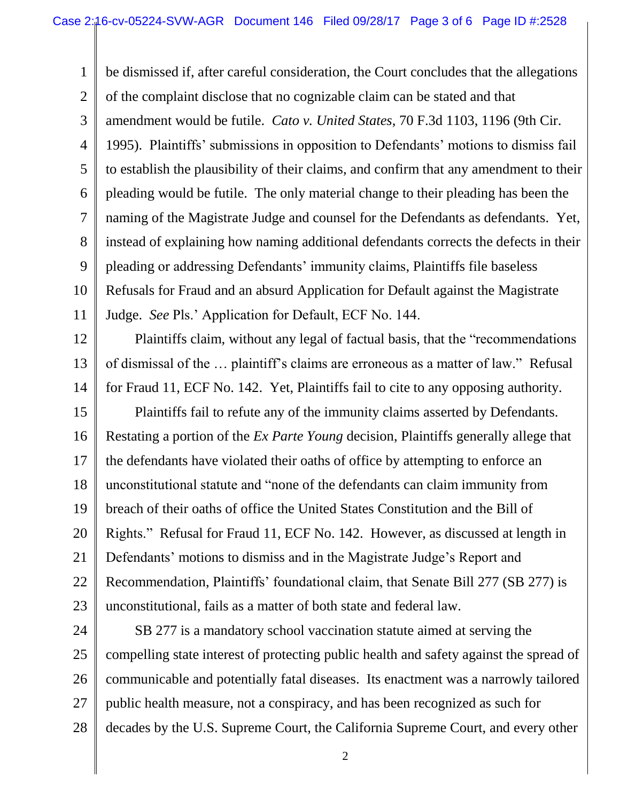1 2 3 4 5 6 7 8 9 10 11 be dismissed if, after careful consideration, the Court concludes that the allegations of the complaint disclose that no cognizable claim can be stated and that amendment would be futile. *Cato v. United States*, 70 F.3d 1103, 1196 (9th Cir. 1995). Plaintiffs' submissions in opposition to Defendants' motions to dismiss fail to establish the plausibility of their claims, and confirm that any amendment to their pleading would be futile. The only material change to their pleading has been the naming of the Magistrate Judge and counsel for the Defendants as defendants. Yet, instead of explaining how naming additional defendants corrects the defects in their pleading or addressing Defendants' immunity claims, Plaintiffs file baseless Refusals for Fraud and an absurd Application for Default against the Magistrate Judge. *See* Pls.' Application for Default, ECF No. 144.

12 13 14 Plaintiffs claim, without any legal of factual basis, that the "recommendations of dismissal of the … plaintiff's claims are erroneous as a matter of law." Refusal for Fraud 11, ECF No. 142. Yet, Plaintiffs fail to cite to any opposing authority.

15 16 17 18 19 20 21 22 23 Plaintiffs fail to refute any of the immunity claims asserted by Defendants. Restating a portion of the *Ex Parte Young* decision, Plaintiffs generally allege that the defendants have violated their oaths of office by attempting to enforce an unconstitutional statute and "none of the defendants can claim immunity from breach of their oaths of office the United States Constitution and the Bill of Rights." Refusal for Fraud 11, ECF No. 142. However, as discussed at length in Defendants' motions to dismiss and in the Magistrate Judge's Report and Recommendation, Plaintiffs' foundational claim, that Senate Bill 277 (SB 277) is unconstitutional, fails as a matter of both state and federal law.

24 25 26 27 28 SB 277 is a mandatory school vaccination statute aimed at serving the compelling state interest of protecting public health and safety against the spread of communicable and potentially fatal diseases. Its enactment was a narrowly tailored public health measure, not a conspiracy, and has been recognized as such for decades by the U.S. Supreme Court, the California Supreme Court, and every other

2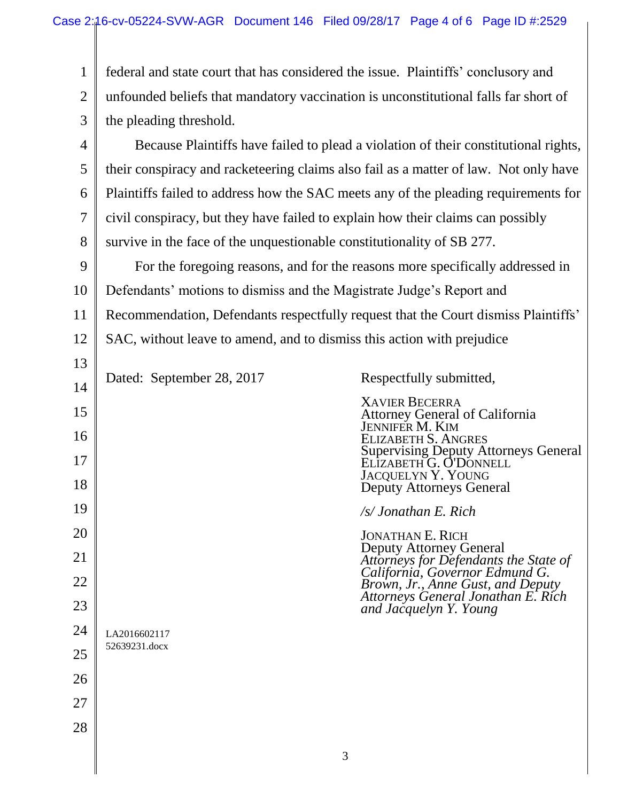| $\mathbf{1}$   | federal and state court that has considered the issue. Plaintiffs' conclusory and    |                                                                                                                               |  |
|----------------|--------------------------------------------------------------------------------------|-------------------------------------------------------------------------------------------------------------------------------|--|
| $\overline{2}$ | unfounded beliefs that mandatory vaccination is unconstitutional falls far short of  |                                                                                                                               |  |
| 3              | the pleading threshold.                                                              |                                                                                                                               |  |
| $\overline{4}$ | Because Plaintiffs have failed to plead a violation of their constitutional rights,  |                                                                                                                               |  |
| 5              | their conspiracy and racketeering claims also fail as a matter of law. Not only have |                                                                                                                               |  |
| 6              | Plaintiffs failed to address how the SAC meets any of the pleading requirements for  |                                                                                                                               |  |
| 7              | civil conspiracy, but they have failed to explain how their claims can possibly      |                                                                                                                               |  |
| 8              | survive in the face of the unquestionable constitutionality of SB 277.               |                                                                                                                               |  |
| 9              | For the foregoing reasons, and for the reasons more specifically addressed in        |                                                                                                                               |  |
| 10             | Defendants' motions to dismiss and the Magistrate Judge's Report and                 |                                                                                                                               |  |
| 11             | Recommendation, Defendants respectfully request that the Court dismiss Plaintiffs'   |                                                                                                                               |  |
| 12             | SAC, without leave to amend, and to dismiss this action with prejudice               |                                                                                                                               |  |
| 13             |                                                                                      |                                                                                                                               |  |
| 14             | Dated: September 28, 2017                                                            | Respectfully submitted,                                                                                                       |  |
| 15<br>16       |                                                                                      | <b>XAVIER BECERRA</b><br>Attorney General of California<br>JENNIFER M. KIM                                                    |  |
| 17<br>18       |                                                                                      | <b>ELIZABETH S. ANGRES</b><br>Supervising Deputy Attorneys General<br>ELIZABETH G. O'DONNELL<br>JACQUELYN Y. YOUNG            |  |
|                |                                                                                      | <b>Deputy Attorneys General</b>                                                                                               |  |
| 19             |                                                                                      | /s/ Jonathan E. Rich                                                                                                          |  |
| 20<br>21       |                                                                                      | <b>JONATHAN E. RICH</b><br>Deputy Attorney General<br>Attorneys for Defendants the State of<br>California, Governor Edmund G. |  |
| 22             |                                                                                      | Brown, Jr., Anne Gust, and Deputy                                                                                             |  |
| 23             |                                                                                      | Attorneys General Jonathan E. Rich<br>and Jacquelyn Y. Young                                                                  |  |
| 24             | LA2016602117                                                                         |                                                                                                                               |  |
| 25             | 52639231.docx                                                                        |                                                                                                                               |  |
| 26             |                                                                                      |                                                                                                                               |  |
| 27             |                                                                                      |                                                                                                                               |  |
| 28             |                                                                                      |                                                                                                                               |  |
|                |                                                                                      |                                                                                                                               |  |

3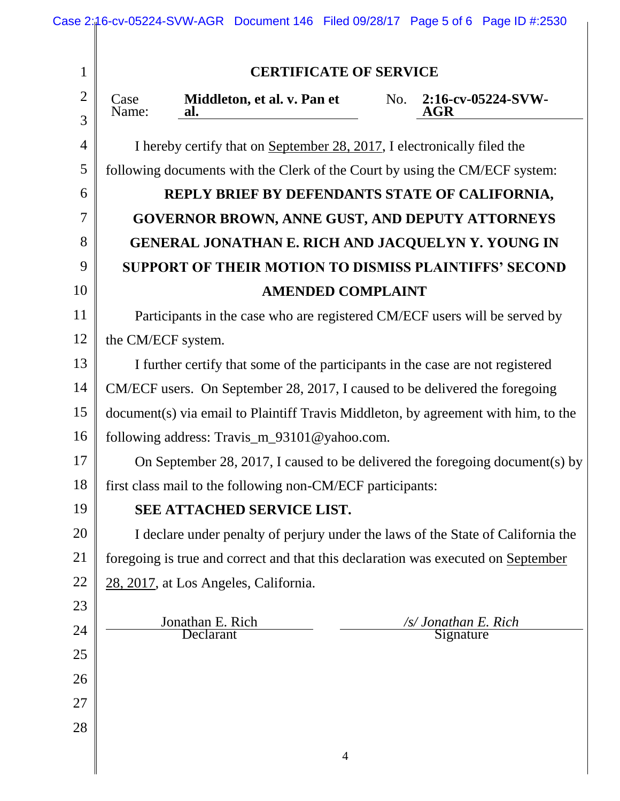| $\mathbf{1}$        | <b>CERTIFICATE OF SERVICE</b>                                                                                                                                     |  |  |  |
|---------------------|-------------------------------------------------------------------------------------------------------------------------------------------------------------------|--|--|--|
| $\overline{2}$<br>3 | Middleton, et al. v. Pan et<br>2:16-cv-05224-SVW-<br>No.<br>Case<br>Name:<br>AGR<br>al.                                                                           |  |  |  |
| $\overline{4}$      |                                                                                                                                                                   |  |  |  |
| 5                   | I hereby certify that on September 28, 2017, I electronically filed the                                                                                           |  |  |  |
| 6                   | following documents with the Clerk of the Court by using the CM/ECF system:                                                                                       |  |  |  |
| $\overline{7}$      | REPLY BRIEF BY DEFENDANTS STATE OF CALIFORNIA,                                                                                                                    |  |  |  |
| 8                   | GOVERNOR BROWN, ANNE GUST, AND DEPUTY ATTORNEYS                                                                                                                   |  |  |  |
| 9                   | GENERAL JONATHAN E. RICH AND JACQUELYN Y. YOUNG IN                                                                                                                |  |  |  |
| 10                  | SUPPORT OF THEIR MOTION TO DISMISS PLAINTIFFS' SECOND                                                                                                             |  |  |  |
| 11                  | <b>AMENDED COMPLAINT</b>                                                                                                                                          |  |  |  |
| 12                  | Participants in the case who are registered CM/ECF users will be served by                                                                                        |  |  |  |
| 13                  | the CM/ECF system.                                                                                                                                                |  |  |  |
| 14                  | I further certify that some of the participants in the case are not registered                                                                                    |  |  |  |
| 15                  | CM/ECF users. On September 28, 2017, I caused to be delivered the foregoing<br>document(s) via email to Plaintiff Travis Middleton, by agreement with him, to the |  |  |  |
| 16                  | following address: Travis_m_93101@yahoo.com.                                                                                                                      |  |  |  |
| 17                  | On September 28, 2017, I caused to be delivered the foregoing document(s) by                                                                                      |  |  |  |
| 18                  | first class mail to the following non-CM/ECF participants:                                                                                                        |  |  |  |
| 19                  | SEE ATTACHED SERVICE LIST.                                                                                                                                        |  |  |  |
| 20                  | I declare under penalty of perjury under the laws of the State of California the                                                                                  |  |  |  |
| 21                  | foregoing is true and correct and that this declaration was executed on September                                                                                 |  |  |  |
| 22                  | 28, 2017, at Los Angeles, California.                                                                                                                             |  |  |  |
| 23                  |                                                                                                                                                                   |  |  |  |
| 24                  | Jonathan E. Rich<br>/s/ Jonathan E. Rich<br>Declarant<br>Signature                                                                                                |  |  |  |
| 25                  |                                                                                                                                                                   |  |  |  |
| 26                  |                                                                                                                                                                   |  |  |  |
| 27                  |                                                                                                                                                                   |  |  |  |
| 28                  |                                                                                                                                                                   |  |  |  |
|                     |                                                                                                                                                                   |  |  |  |